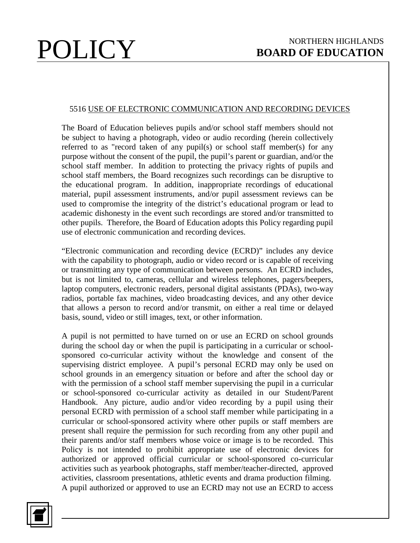## 5516 USE OF ELECTRONIC COMMUNICATION AND RECORDING DEVICES

The Board of Education believes pupils and/or school staff members should not be subject to having a photograph, video or audio recording (herein collectively referred to as "record taken of any pupil(s) or school staff member(s) for any purpose without the consent of the pupil, the pupil's parent or guardian, and/or the school staff member. In addition to protecting the privacy rights of pupils and school staff members, the Board recognizes such recordings can be disruptive to the educational program. In addition, inappropriate recordings of educational material, pupil assessment instruments, and/or pupil assessment reviews can be used to compromise the integrity of the district's educational program or lead to academic dishonesty in the event such recordings are stored and/or transmitted to other pupils. Therefore, the Board of Education adopts this Policy regarding pupil use of electronic communication and recording devices.

"Electronic communication and recording device (ECRD)" includes any device with the capability to photograph, audio or video record or is capable of receiving or transmitting any type of communication between persons. An ECRD includes, but is not limited to, cameras, cellular and wireless telephones, pagers/beepers, laptop computers, electronic readers, personal digital assistants (PDAs), two-way radios, portable fax machines, video broadcasting devices, and any other device that allows a person to record and/or transmit, on either a real time or delayed basis, sound, video or still images, text, or other information.

A pupil is not permitted to have turned on or use an ECRD on school grounds during the school day or when the pupil is participating in a curricular or schoolsponsored co-curricular activity without the knowledge and consent of the supervising district employee. A pupil's personal ECRD may only be used on school grounds in an emergency situation or before and after the school day or with the permission of a school staff member supervising the pupil in a curricular or school-sponsored co-curricular activity as detailed in our Student/Parent Handbook. Any picture, audio and/or video recording by a pupil using their personal ECRD with permission of a school staff member while participating in a curricular or school-sponsored activity where other pupils or staff members are present shall require the permission for such recording from any other pupil and their parents and/or staff members whose voice or image is to be recorded. This Policy is not intended to prohibit appropriate use of electronic devices for authorized or approved official curricular or school-sponsored co-curricular activities such as yearbook photographs, staff member/teacher-directed, approved activities, classroom presentations, athletic events and drama production filming. A pupil authorized or approved to use an ECRD may not use an ECRD to access